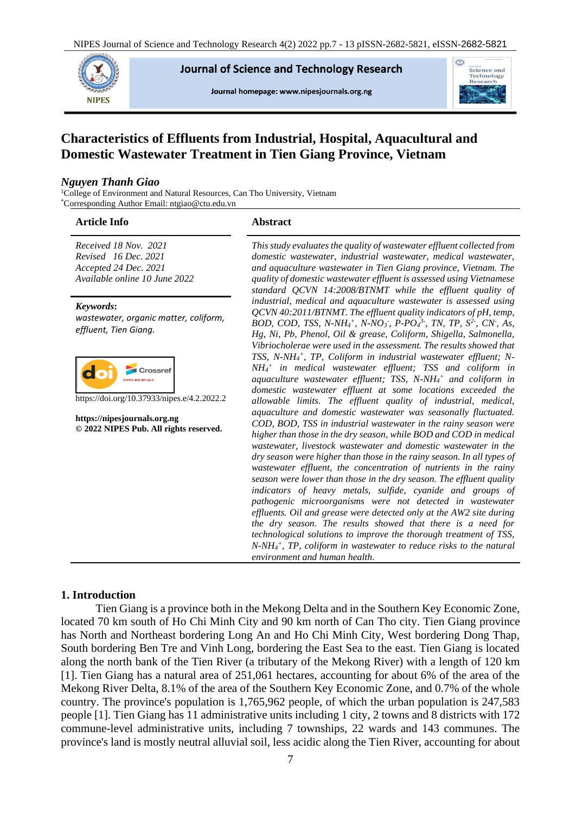

**Journal of Science and Technology Research** 

Journal homepage: www.nipesjournals.org.ng



# **Characteristics of Effluents from Industrial, Hospital, Aquacultural and Domestic Wastewater Treatment in Tien Giang Province, Vietnam**

#### *Nguyen Thanh Giao*

<sup>1</sup>College of Environment and Natural Resources, Can Tho University, Vietnam \*Corresponding Author Email: ntgiao@ctu.edu.vn

| <b>Article Info</b>                                                                                     | <b>Abstract</b>                                                                                                                                                                                                                                                                                                                                                                                                                                                                                 |
|---------------------------------------------------------------------------------------------------------|-------------------------------------------------------------------------------------------------------------------------------------------------------------------------------------------------------------------------------------------------------------------------------------------------------------------------------------------------------------------------------------------------------------------------------------------------------------------------------------------------|
| Received 18 Nov. 2021<br>Revised 16 Dec. 2021<br>Accepted 24 Dec. 2021<br>Available online 10 June 2022 | This study evaluates the quality of wastewater effluent collected from<br>domestic wastewater, industrial wastewater, medical wastewater,<br>and aquaculture wastewater in Tien Giang province, Vietnam. The<br>quality of domestic wastewater effluent is assessed using Vietnamese<br>standard QCVN 14:2008/BTNMT while the effluent quality of                                                                                                                                               |
| Keywords:<br>wastewater, organic matter, coliform,<br>effluent, Tien Giang.                             | industrial, medical and aquaculture wastewater is assessed using<br>QCVN 40:2011/BTNMT. The effluent quality indicators of pH, temp,<br>BOD, COD, TSS, N-NH <sub>4</sub> <sup>+</sup> , N-NO <sub>3</sub> , P-PO <sub>4</sub> <sup>3-</sup> , TN, TP, $S^2$ , CN, As,<br>Hg, Ni, Pb, Phenol, Oil & grease, Coliform, Shigella, Salmonella,<br>Vibriocholerae were used in the assessment. The results showed that                                                                               |
| Crossret<br>https://doi.org/10.37933/nipes.e/4.2.2022.2                                                 | TSS, N-NH <sub>4</sub> <sup>+</sup> , TP, Coliform in industrial wastewater effluent; N-<br>$NH_4^+$ in medical wastewater effluent; TSS and coliform in<br>aquaculture wastewater effluent; TSS, N-NH <sub>4</sub> + and coliform in<br>domestic wastewater effluent at some locations exceeded the<br>allowable limits. The effluent quality of industrial, medical,                                                                                                                          |
| https://nipesjournals.org.ng<br>© 2022 NIPES Pub. All rights reserved.                                  | aquaculture and domestic wastewater was seasonally fluctuated.<br>COD, BOD, TSS in industrial wastewater in the rainy season were<br>higher than those in the dry season, while BOD and COD in medical<br>wastewater, livestock wastewater and domestic wastewater in the<br>dry season were higher than those in the rainy season. In all types of<br>wastewater effluent, the concentration of nutrients in the rainy<br>season were lower than those in the dry season. The effluent quality |
|                                                                                                         | indicators of heavy metals, sulfide, cyanide and groups of<br>pathogenic microorganisms were not detected in wastewater<br>effluents. Oil and grease were detected only at the AW2 site during<br>the dry season. The results showed that there is a need for<br>technological solutions to improve the thorough treatment of TSS,<br>$N-NH_4$ <sup>+</sup> , TP, coliform in wastewater to reduce risks to the natural<br>environment and human health.                                        |

# **1. Introduction**

Tien Giang is a province both in the Mekong Delta and in the Southern Key Economic Zone, located 70 km south of Ho Chi Minh City and 90 km north of Can Tho city. Tien Giang province has North and Northeast bordering Long An and Ho Chi Minh City, West bordering Dong Thap, South bordering Ben Tre and Vinh Long, bordering the East Sea to the east. Tien Giang is located along the north bank of the Tien River (a tributary of the Mekong River) with a length of 120 km [1]. Tien Giang has a natural area of 251,061 hectares, accounting for about 6% of the area of the Mekong River Delta, 8.1% of the area of the Southern Key Economic Zone, and 0.7% of the whole country. The province's population is 1,765,962 people, of which the urban population is 247,583 people [1]. Tien Giang has 11 administrative units including 1 city, 2 towns and 8 districts with 172 commune-level administrative units, including 7 townships, 22 wards and 143 communes. The province's land is mostly neutral alluvial soil, less acidic along the Tien River, accounting for about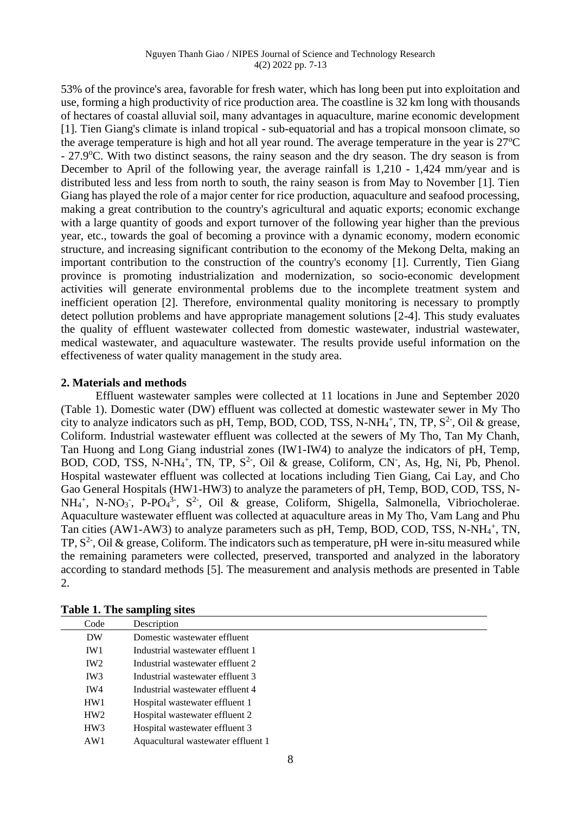53% of the province's area, favorable for fresh water, which has long been put into exploitation and use, forming a high productivity of rice production area. The coastline is 32 km long with thousands of hectares of coastal alluvial soil, many advantages in aquaculture, marine economic development [1]. Tien Giang's climate is inland tropical - sub-equatorial and has a tropical monsoon climate, so the average temperature is high and hot all year round. The average temperature in the year is  $27^{\circ}$ C - 27.9 °C. With two distinct seasons, the rainy season and the dry season. The dry season is from December to April of the following year, the average rainfall is 1,210 - 1,424 mm/year and is distributed less and less from north to south, the rainy season is from May to November [1]. Tien Giang has played the role of a major center for rice production, aquaculture and seafood processing, making a great contribution to the country's agricultural and aquatic exports; economic exchange with a large quantity of goods and export turnover of the following year higher than the previous year, etc., towards the goal of becoming a province with a dynamic economy, modern economic structure, and increasing significant contribution to the economy of the Mekong Delta, making an important contribution to the construction of the country's economy [1]. Currently, Tien Giang province is promoting industrialization and modernization, so socio-economic development activities will generate environmental problems due to the incomplete treatment system and inefficient operation [2]. Therefore, environmental quality monitoring is necessary to promptly detect pollution problems and have appropriate management solutions [2-4]. This study evaluates the quality of effluent wastewater collected from domestic wastewater, industrial wastewater, medical wastewater, and aquaculture wastewater. The results provide useful information on the effectiveness of water quality management in the study area.

# **2. Materials and methods**

Effluent wastewater samples were collected at 11 locations in June and September 2020 (Table 1). Domestic water (DW) effluent was collected at domestic wastewater sewer in My Tho city to analyze indicators such as pH, Temp, BOD, COD, TSS, N-NH<sub>4</sub><sup>+</sup>, TN, TP,  $S^2$ -, Oil & grease, Coliform. Industrial wastewater effluent was collected at the sewers of My Tho, Tan My Chanh, Tan Huong and Long Giang industrial zones (IW1-IW4) to analyze the indicators of pH, Temp, BOD, COD, TSS, N-NH<sub>4</sub><sup>+</sup>, TN, TP,  $S^2$ <sup>-</sup>, Oil & grease, Coliform, CN<sup>-</sup>, As, Hg, Ni, Pb, Phenol. Hospital wastewater effluent was collected at locations including Tien Giang, Cai Lay, and Cho Gao General Hospitals (HW1-HW3) to analyze the parameters of pH, Temp, BOD, COD, TSS, N- $NH_4^+$ , N-NO<sub>3</sub><sup>-</sup>, P-PO<sub>4</sub><sup>3-</sup>, S<sup>2-</sup>, Oil & grease, Coliform, Shigella, Salmonella, Vibriocholerae. Aquaculture wastewater effluent was collected at aquaculture areas in My Tho, Vam Lang and Phu Tan cities (AW1-AW3) to analyze parameters such as pH, Temp, BOD, COD, TSS, N-NH<sub>4</sub><sup>+</sup>, TN, TP,  $S^2$ , Oil & grease, Coliform. The indicators such as temperature, pH were in-situ measured while the remaining parameters were collected, preserved, transported and analyzed in the laboratory according to standard methods [5]. The measurement and analysis methods are presented in Table 2.

| Code            | Description                        |
|-----------------|------------------------------------|
| DW              | Domestic wastewater effluent       |
| IW1             | Industrial wastewater effluent 1   |
| IW <sub>2</sub> | Industrial wastewater effluent 2   |
| IW <sub>3</sub> | Industrial wastewater effluent 3   |
| IW4             | Industrial wastewater effluent 4   |
| HW <sub>1</sub> | Hospital wastewater effluent 1     |
| HW <sub>2</sub> | Hospital wastewater effluent 2     |
| HW <sub>3</sub> | Hospital wastewater effluent 3     |
| AW1             | Aquacultural wastewater effluent 1 |
|                 |                                    |

**Table 1. The sampling sites**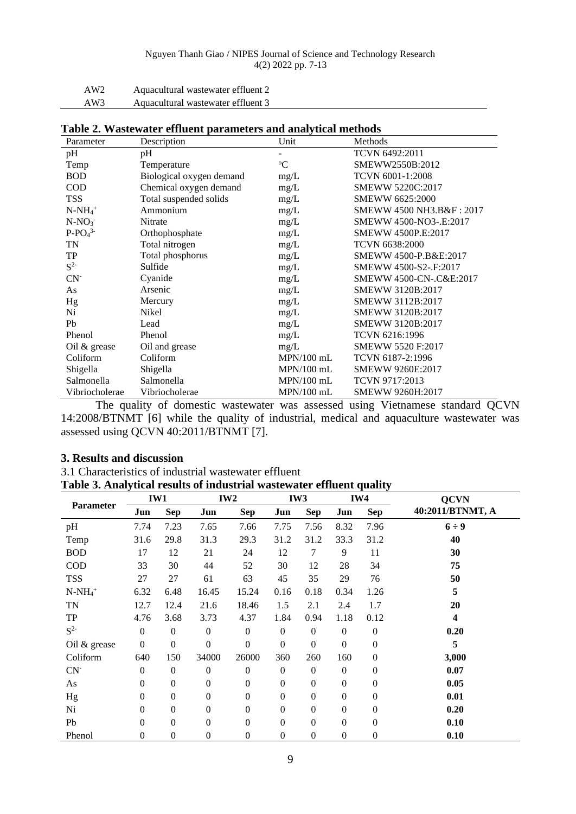| AW <sub>2</sub> | Aquacultural wastewater effluent 2 |
|-----------------|------------------------------------|
| AW3             | Aquacultural wastewater effluent 3 |

| Parameter      | Description              | Unit         | Methods                  |
|----------------|--------------------------|--------------|--------------------------|
| pH             | pH                       |              | TCVN 6492:2011           |
| Temp           | Temperature              | $\rm ^{o}C$  | SMEWW2550B:2012          |
| <b>BOD</b>     | Biological oxygen demand | mg/L         | TCVN 6001-1:2008         |
| <b>COD</b>     | Chemical oxygen demand   | mg/L         | SMEWW 5220C:2017         |
| TSS            | Total suspended solids   | mg/L         | SMEWW 6625:2000          |
| $N-NH_4^+$     | Ammonium                 | mg/L         | SMEWW 4500 NH3.B&F: 2017 |
| $N-NO_3$       | Nitrate                  | mg/L         | SMEWW 4500-NO3-.E:2017   |
| $P-PO43$       | Orthophosphate           | mg/L         | SMEWW 4500P.E:2017       |
| TN             | Total nitrogen           | mg/L         | <b>TCVN 6638:2000</b>    |
| TP             | Total phosphorus         | mg/L         | SMEWW 4500-P.B&E:2017    |
| $S^{2-}$       | Sulfide                  | mg/L         | SMEWW 4500-S2-.F:2017    |
| $CN-$          | Cyanide                  | mg/L         | SMEWW 4500-CN-.C&E:2017  |
| As             | Arsenic                  | mg/L         | SMEWW 3120B:2017         |
| Hg             | Mercury                  | mg/L         | SMEWW 3112B:2017         |
| Ni             | Nikel                    | mg/L         | SMEWW 3120B:2017         |
| Pb             | Lead                     | mg/L         | SMEWW 3120B:2017         |
| Phenol         | Phenol                   | mg/L         | TCVN 6216:1996           |
| Oil $&$ grease | Oil and grease           | mg/L         | SMEWW 5520 F:2017        |
| Coliform       | Coliform                 | $MPN/100$ mL | TCVN 6187-2:1996         |
| Shigella       | Shigella                 | $MPN/100$ mL | SMEWW 9260E:2017         |
| Salmonella     | Salmonella               | $MPN/100$ mL | TCVN 9717:2013           |
| Vibriocholerae | Vibriocholerae           | $MPN/100$ mL | SMEWW 9260H:2017         |

|  | Table 2. Wastewater effluent parameters and analytical methods |  |  |  |  |  |  |  |
|--|----------------------------------------------------------------|--|--|--|--|--|--|--|
|--|----------------------------------------------------------------|--|--|--|--|--|--|--|

The quality of domestic wastewater was assessed using Vietnamese standard QCVN 14:2008/BTNMT [6] while the quality of industrial, medical and aquaculture wastewater was assessed using QCVN 40:2011/BTNMT [7].

#### **3. Results and discussion**

3.1 Characteristics of industrial wastewater effluent **Table 3. Analytical results of industrial wastewater effluent quality**

| Parameter    | IW1              |                  |                  | IW <sub>2</sub>  |                  | IW <sub>3</sub>  |                  | IW4            | <b>QCVN</b>             |
|--------------|------------------|------------------|------------------|------------------|------------------|------------------|------------------|----------------|-------------------------|
|              | Jun              | Sep              | Jun              | Sep              | Jun              | Sep              | Jun              | <b>Sep</b>     | 40:2011/BTNMT, A        |
| pH           | 7.74             | 7.23             | 7.65             | 7.66             | 7.75             | 7.56             | 8.32             | 7.96           | $6 \div 9$              |
| Temp         | 31.6             | 29.8             | 31.3             | 29.3             | 31.2             | 31.2             | 33.3             | 31.2           | 40                      |
| <b>BOD</b>   | 17               | 12               | 21               | 24               | 12               | 7                | 9                | 11             | 30                      |
| <b>COD</b>   | 33               | 30               | 44               | 52               | 30               | 12               | 28               | 34             | 75                      |
| <b>TSS</b>   | 27               | 27               | 61               | 63               | 45               | 35               | 29               | 76             | 50                      |
| $N-NH_4^+$   | 6.32             | 6.48             | 16.45            | 15.24            | 0.16             | 0.18             | 0.34             | 1.26           | 5                       |
| <b>TN</b>    | 12.7             | 12.4             | 21.6             | 18.46            | 1.5              | 2.1              | 2.4              | 1.7            | 20                      |
| TP           | 4.76             | 3.68             | 3.73             | 4.37             | 1.84             | 0.94             | 1.18             | 0.12           | $\overline{\mathbf{4}}$ |
| $S^2$        | $\mathbf{0}$     | $\boldsymbol{0}$ | $\mathbf{0}$     | $\boldsymbol{0}$ | $\boldsymbol{0}$ | $\overline{0}$   | $\boldsymbol{0}$ | $\overline{0}$ | 0.20                    |
| Oil & grease | $\boldsymbol{0}$ | $\mathbf{0}$     | $\mathbf{0}$     | $\boldsymbol{0}$ | $\overline{0}$   | $\overline{0}$   | $\overline{0}$   | $\theta$       | 5                       |
| Coliform     | 640              | 150              | 34000            | 26000            | 360              | 260              | 160              | $\overline{0}$ | 3,000                   |
| $CN-$        | $\mathbf{0}$     | $\boldsymbol{0}$ | $\mathbf{0}$     | $\boldsymbol{0}$ | $\mathbf{0}$     | $\overline{0}$   | $\boldsymbol{0}$ | $\mathbf{0}$   | 0.07                    |
| As           | $\mathbf{0}$     | $\boldsymbol{0}$ | $\mathbf{0}$     | $\boldsymbol{0}$ | $\overline{0}$   | $\overline{0}$   | $\mathbf{0}$     | $\Omega$       | 0.05                    |
| Hg           | $\mathbf{0}$     | $\boldsymbol{0}$ | $\boldsymbol{0}$ | $\boldsymbol{0}$ | $\overline{0}$   | $\boldsymbol{0}$ | $\mathbf{0}$     | $\overline{0}$ | 0.01                    |
| Ni           | $\Omega$         | $\boldsymbol{0}$ | $\Omega$         | $\boldsymbol{0}$ | $\Omega$         | $\theta$         | $\mathbf{0}$     | $\Omega$       | 0.20                    |
| Pb           | $\Omega$         | $\boldsymbol{0}$ | $\Omega$         | $\boldsymbol{0}$ | $\Omega$         | $\theta$         | $\mathbf{0}$     | $\Omega$       | 0.10                    |
| Phenol       | 0                | $\mathbf{0}$     | $\Omega$         | $\boldsymbol{0}$ | $\Omega$         | $\Omega$         | $\overline{0}$   | $\Omega$       | 0.10                    |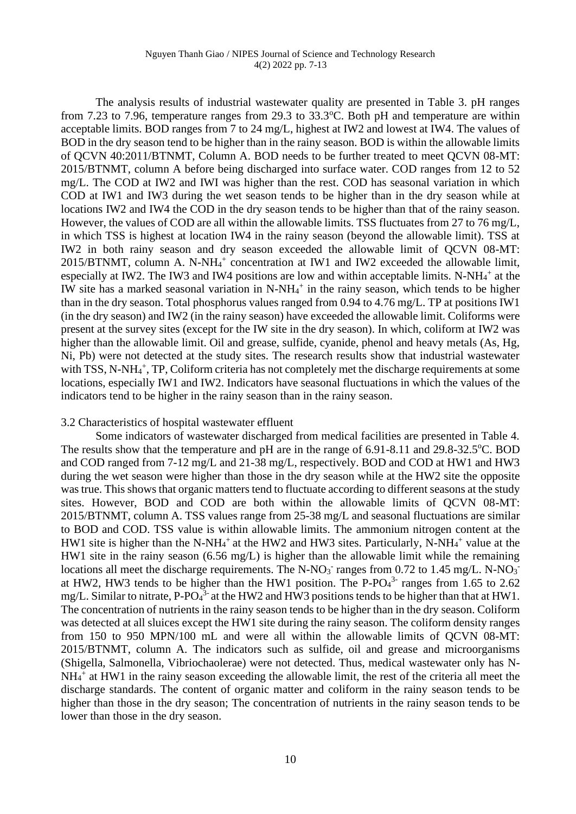The analysis results of industrial wastewater quality are presented in Table 3. pH ranges from 7.23 to 7.96, temperature ranges from 29.3 to  $33.3^{\circ}$ C. Both pH and temperature are within acceptable limits. BOD ranges from 7 to 24 mg/L, highest at IW2 and lowest at IW4. The values of BOD in the dry season tend to be higher than in the rainy season. BOD is within the allowable limits of QCVN 40:2011/BTNMT, Column A. BOD needs to be further treated to meet QCVN 08-MT: 2015/BTNMT, column A before being discharged into surface water. COD ranges from 12 to 52 mg/L. The COD at IW2 and IWI was higher than the rest. COD has seasonal variation in which COD at IW1 and IW3 during the wet season tends to be higher than in the dry season while at locations IW2 and IW4 the COD in the dry season tends to be higher than that of the rainy season. However, the values of COD are all within the allowable limits. TSS fluctuates from 27 to 76 mg/L, in which TSS is highest at location IW4 in the rainy season (beyond the allowable limit). TSS at IW2 in both rainy season and dry season exceeded the allowable limit of QCVN 08-MT: 2015/BTNMT, column A. N-NH<sup>4</sup> + concentration at IW1 and IW2 exceeded the allowable limit, especially at IW2. The IW3 and IW4 positions are low and within acceptable limits. N-NH $_4$ <sup>+</sup> at the IW site has a marked seasonal variation in  $N-NH<sub>4</sub><sup>+</sup>$  in the rainy season, which tends to be higher than in the dry season. Total phosphorus values ranged from 0.94 to 4.76 mg/L. TP at positions IW1 (in the dry season) and IW2 (in the rainy season) have exceeded the allowable limit. Coliforms were present at the survey sites (except for the IW site in the dry season). In which, coliform at IW2 was higher than the allowable limit. Oil and grease, sulfide, cyanide, phenol and heavy metals (As, Hg, Ni, Pb) were not detected at the study sites. The research results show that industrial wastewater with TSS, N-NH<sub>4</sub><sup>+</sup>, TP, Coliform criteria has not completely met the discharge requirements at some locations, especially IW1 and IW2. Indicators have seasonal fluctuations in which the values of the indicators tend to be higher in the rainy season than in the rainy season.

#### 3.2 Characteristics of hospital wastewater effluent

Some indicators of wastewater discharged from medical facilities are presented in Table 4. The results show that the temperature and  $pH$  are in the range of 6.91-8.11 and 29.8-32.5 $^{\circ}$ C. BOD and COD ranged from 7-12 mg/L and 21-38 mg/L, respectively. BOD and COD at HW1 and HW3 during the wet season were higher than those in the dry season while at the HW2 site the opposite was true. This shows that organic matters tend to fluctuate according to different seasons at the study sites. However, BOD and COD are both within the allowable limits of QCVN 08-MT: 2015/BTNMT, column A. TSS values range from 25-38 mg/L and seasonal fluctuations are similar to BOD and COD. TSS value is within allowable limits. The ammonium nitrogen content at the HW1 site is higher than the N-NH<sub>4</sub><sup>+</sup> at the HW2 and HW3 sites. Particularly, N-NH<sub>4</sub><sup>+</sup> value at the HW1 site in the rainy season (6.56 mg/L) is higher than the allowable limit while the remaining locations all meet the discharge requirements. The N-NO<sub>3</sub><sup>-</sup> ranges from 0.72 to 1.45 mg/L. N-NO<sub>3</sub><sup>-</sup> at HW2, HW3 tends to be higher than the HW1 position. The P-PO $4<sup>3</sup>$  ranges from 1.65 to 2.62 mg/L. Similar to nitrate, P-PO $4^3$  at the HW2 and HW3 positions tends to be higher than that at HW1. The concentration of nutrients in the rainy season tends to be higher than in the dry season. Coliform was detected at all sluices except the HW1 site during the rainy season. The coliform density ranges from 150 to 950 MPN/100 mL and were all within the allowable limits of QCVN 08-MT: 2015/BTNMT, column A. The indicators such as sulfide, oil and grease and microorganisms (Shigella, Salmonella, Vibriochaolerae) were not detected. Thus, medical wastewater only has N-NH<sub>4</sub><sup>+</sup> at HW1 in the rainy season exceeding the allowable limit, the rest of the criteria all meet the discharge standards. The content of organic matter and coliform in the rainy season tends to be higher than those in the dry season; The concentration of nutrients in the rainy season tends to be lower than those in the dry season.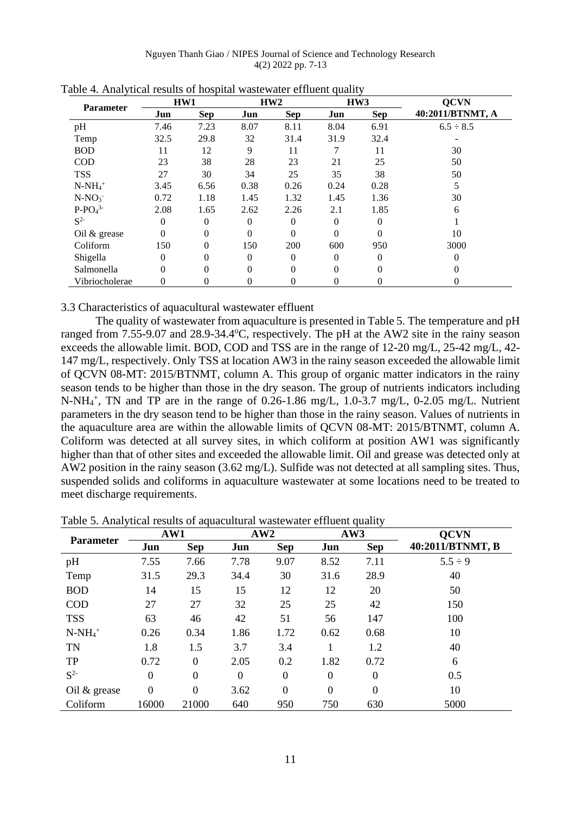Nguyen Thanh Giao / NIPES Journal of Science and Technology Research 4(2) 2022 pp. 7-13

|                       | HW1            |              | HW2      |            |          | HW3        | <b>QCVN</b>      |  |
|-----------------------|----------------|--------------|----------|------------|----------|------------|------------------|--|
| <b>Parameter</b>      | Jun            | <b>Sep</b>   | Jun      | <b>Sep</b> | Jun      | <b>Sep</b> | 40:2011/BTNMT, A |  |
| pH                    | 7.46           | 7.23         | 8.07     | 8.11       | 8.04     | 6.91       | $6.5 \div 8.5$   |  |
| Temp                  | 32.5           | 29.8         | 32       | 31.4       | 31.9     | 32.4       |                  |  |
| <b>BOD</b>            | 11             | 12           | 9        | 11         |          | 11         | 30               |  |
| <b>COD</b>            | 23             | 38           | 28       | 23         | 21       | 25         | 50               |  |
| <b>TSS</b>            | 27             | 30           | 34       | 25         | 35       | 38         | 50               |  |
| $N-NH_4$ <sup>+</sup> | 3.45           | 6.56         | 0.38     | 0.26       | 0.24     | 0.28       | 5                |  |
| $N-NO3$               | 0.72           | 1.18         | 1.45     | 1.32       | 1.45     | 1.36       | 30               |  |
| $P-PO43$              | 2.08           | 1.65         | 2.62     | 2.26       | 2.1      | 1.85       | 6                |  |
| $S^2$                 | $\overline{0}$ | $\mathbf{0}$ | $\Omega$ | 0          | $\theta$ | $\Omega$   |                  |  |
| Oil & grease          | $\theta$       | $\theta$     | $\Omega$ | $\theta$   | $\Omega$ | $\theta$   | 10               |  |
| Coliform              | 150            | $\theta$     | 150      | 200        | 600      | 950        | 3000             |  |
| Shigella              | 0              | 0            | $\Omega$ | 0          | $\Omega$ | $\Omega$   | 0                |  |
| Salmonella            | $\theta$       | $\theta$     | $\Omega$ | 0          | $\Omega$ | $\theta$   | 0                |  |
| Vibriocholerae        | 0              | 0            | 0        | 0          | 0        | 0          | 0                |  |

| Table 4. Analytical results of hospital wastewater effluent quality |  |
|---------------------------------------------------------------------|--|
|---------------------------------------------------------------------|--|

3.3 Characteristics of aquacultural wastewater effluent

The quality of wastewater from aquaculture is presented in Table 5. The temperature and pH ranged from 7.55-9.07 and 28.9-34.4°C, respectively. The pH at the AW2 site in the rainy season exceeds the allowable limit. BOD, COD and TSS are in the range of 12-20 mg/L, 25-42 mg/L, 42- 147 mg/L, respectively. Only TSS at location AW3 in the rainy season exceeded the allowable limit of QCVN 08-MT: 2015/BTNMT, column A. This group of organic matter indicators in the rainy season tends to be higher than those in the dry season. The group of nutrients indicators including N-NH<sub>4</sub><sup>+</sup>, TN and TP are in the range of 0.26-1.86 mg/L, 1.0-3.7 mg/L, 0-2.05 mg/L. Nutrient parameters in the dry season tend to be higher than those in the rainy season. Values of nutrients in the aquaculture area are within the allowable limits of QCVN 08-MT: 2015/BTNMT, column A. Coliform was detected at all survey sites, in which coliform at position AW1 was significantly higher than that of other sites and exceeded the allowable limit. Oil and grease was detected only at AW2 position in the rainy season (3.62 mg/L). Sulfide was not detected at all sampling sites. Thus, suspended solids and coliforms in aquaculture wastewater at some locations need to be treated to meet discharge requirements.

| <b>Parameter</b> | AW1              |                  |          | AW2            |                | AW3            | <b>OCVN</b>      |
|------------------|------------------|------------------|----------|----------------|----------------|----------------|------------------|
|                  | Jun              | <b>Sep</b>       | Jun      | <b>Sep</b>     | Jun            | <b>Sep</b>     | 40:2011/BTNMT, B |
| pH               | 7.55             | 7.66             | 7.78     | 9.07           | 8.52           | 7.11           | $5.5 \div 9$     |
| Temp             | 31.5             | 29.3             | 34.4     | 30             | 31.6           | 28.9           | 40               |
| <b>BOD</b>       | 14               | 15               | 15       | 12             | 12             | 20             | 50               |
| <b>COD</b>       | 27               | 27               | 32       | 25             | 25             | 42             | 150              |
| <b>TSS</b>       | 63               | 46               | 42       | 51             | 56             | 147            | 100              |
| $N-NH_4^+$       | 0.26             | 0.34             | 1.86     | 1.72           | 0.62           | 0.68           | 10               |
| <b>TN</b>        | 1.8              | 1.5              | 3.7      | 3.4            |                | 1.2            | 40               |
| <b>TP</b>        | 0.72             | $\boldsymbol{0}$ | 2.05     | 0.2            | 1.82           | 0.72           | 6                |
| $S^2$            | $\theta$         | $\boldsymbol{0}$ | $\Omega$ | $\theta$       | $\overline{0}$ | $\overline{0}$ | 0.5              |
| Oil & grease     | $\boldsymbol{0}$ | $\boldsymbol{0}$ | 3.62     | $\overline{0}$ | $\theta$       | $\mathbf{0}$   | 10               |
| Coliform         | 16000            | 21000            | 640      | 950            | 750            | 630            | 5000             |

Table 5. Analytical results of aquacultural wastewater effluent quality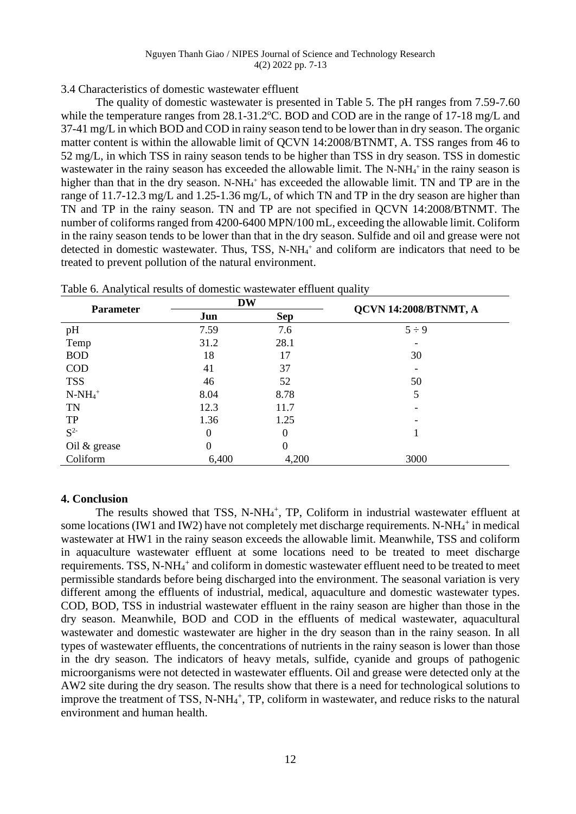# 3.4 Characteristics of domestic wastewater effluent

The quality of domestic wastewater is presented in Table 5. The pH ranges from 7.59-7.60 while the temperature ranges from  $28.1-31.2$ °C. BOD and COD are in the range of 17-18 mg/L and 37-41 mg/L in which BOD and COD in rainy season tend to be lower than in dry season. The organic matter content is within the allowable limit of QCVN 14:2008/BTNMT, A. TSS ranges from 46 to 52 mg/L, in which TSS in rainy season tends to be higher than TSS in dry season. TSS in domestic wastewater in the rainy season has exceeded the allowable limit. The N-NH<sub>4</sub><sup>+</sup> in the rainy season is higher than that in the dry season. N-NH<sub>4</sub><sup>+</sup> has exceeded the allowable limit. TN and TP are in the range of 11.7-12.3 mg/L and 1.25-1.36 mg/L, of which TN and TP in the dry season are higher than TN and TP in the rainy season. TN and TP are not specified in QCVN 14:2008/BTNMT. The number of coliforms ranged from 4200-6400 MPN/100 mL, exceeding the allowable limit. Coliform in the rainy season tends to be lower than that in the dry season. Sulfide and oil and grease were not detected in domestic wastewater. Thus, TSS, N-NH<sup>4</sup> <sup>+</sup> and coliform are indicators that need to be treated to prevent pollution of the natural environment.

|                  | <b>DW</b>      |            | <b>QCVN 14:2008/BTNMT, A</b> |  |  |
|------------------|----------------|------------|------------------------------|--|--|
| <b>Parameter</b> | Jun            | <b>Sep</b> |                              |  |  |
| pH               | 7.59           | 7.6        | $5 \div 9$                   |  |  |
| Temp             | 31.2           | 28.1       |                              |  |  |
| <b>BOD</b>       | 18             | 17         | 30                           |  |  |
| <b>COD</b>       | 41             | 37         |                              |  |  |
| <b>TSS</b>       | 46             | 52         | 50                           |  |  |
| $N-NH_4^+$       | 8.04           | 8.78       | 5                            |  |  |
| <b>TN</b>        | 12.3           | 11.7       |                              |  |  |
| TP               | 1.36           | 1.25       |                              |  |  |
| $S^2$            | $\overline{0}$ | 0          |                              |  |  |
| Oil & grease     | $\overline{0}$ | $\theta$   |                              |  |  |
| Coliform         | 6,400          | 4,200      | 3000                         |  |  |

Table 6. Analytical results of domestic wastewater effluent quality

### **4. Conclusion**

The results showed that TSS, N-NH<sub>4</sub><sup>+</sup>, TP, Coliform in industrial wastewater effluent at some locations (IW1 and IW2) have not completely met discharge requirements. N-NH<sub>4</sub><sup>+</sup> in medical wastewater at HW1 in the rainy season exceeds the allowable limit. Meanwhile, TSS and coliform in aquaculture wastewater effluent at some locations need to be treated to meet discharge requirements. TSS, N-NH<sub>4</sub><sup>+</sup> and coliform in domestic wastewater effluent need to be treated to meet permissible standards before being discharged into the environment. The seasonal variation is very different among the effluents of industrial, medical, aquaculture and domestic wastewater types. COD, BOD, TSS in industrial wastewater effluent in the rainy season are higher than those in the dry season. Meanwhile, BOD and COD in the effluents of medical wastewater, aquacultural wastewater and domestic wastewater are higher in the dry season than in the rainy season. In all types of wastewater effluents, the concentrations of nutrients in the rainy season is lower than those in the dry season. The indicators of heavy metals, sulfide, cyanide and groups of pathogenic microorganisms were not detected in wastewater effluents. Oil and grease were detected only at the AW2 site during the dry season. The results show that there is a need for technological solutions to improve the treatment of TSS, N-NH<sub>4</sub><sup>+</sup>, TP, coliform in wastewater, and reduce risks to the natural environment and human health.